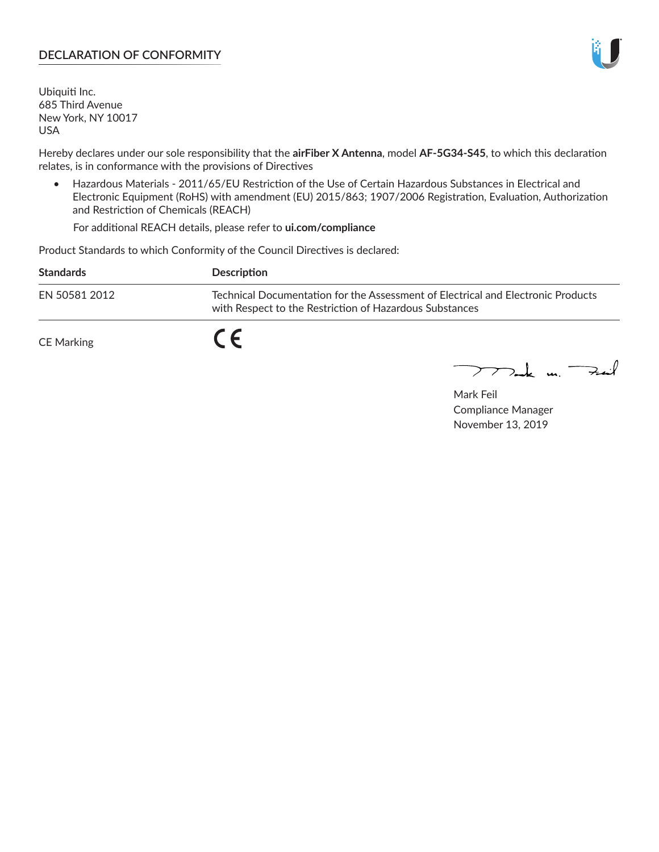#### **DECLARATION OF CONFORMITY**

Ubiquiti Inc. 685 Third Avenue New York, NY 10017 USA

Hereby declares under our sole responsibility that the **airFiber X Antenna**, model **AF-5G34-S45**, to which this declaration relates, is in conformance with the provisions of Directives

• Hazardous Materials - 2011/65/EU Restriction of the Use of Certain Hazardous Substances in Electrical and Electronic Equipment (RoHS) with amendment (EU) 2015/863; 1907/2006 Registration, Evaluation, Authorization and Restriction of Chemicals (REACH)

For additional REACH details, please refer to **ui.com/compliance**

Product Standards to which Conformity of the Council Directives is declared:

| <b>Standards</b> | <b>Description</b>                                                                                                                          |
|------------------|---------------------------------------------------------------------------------------------------------------------------------------------|
| EN 50581 2012    | Technical Documentation for the Assessment of Electrical and Electronic Products<br>with Respect to the Restriction of Hazardous Substances |
| CE Marking       |                                                                                                                                             |

 $\sum_{n=1}^{\infty}$  un  $\sum_{n=1}^{\infty}$ 

Mark Feil Compliance Manager November 13, 2019

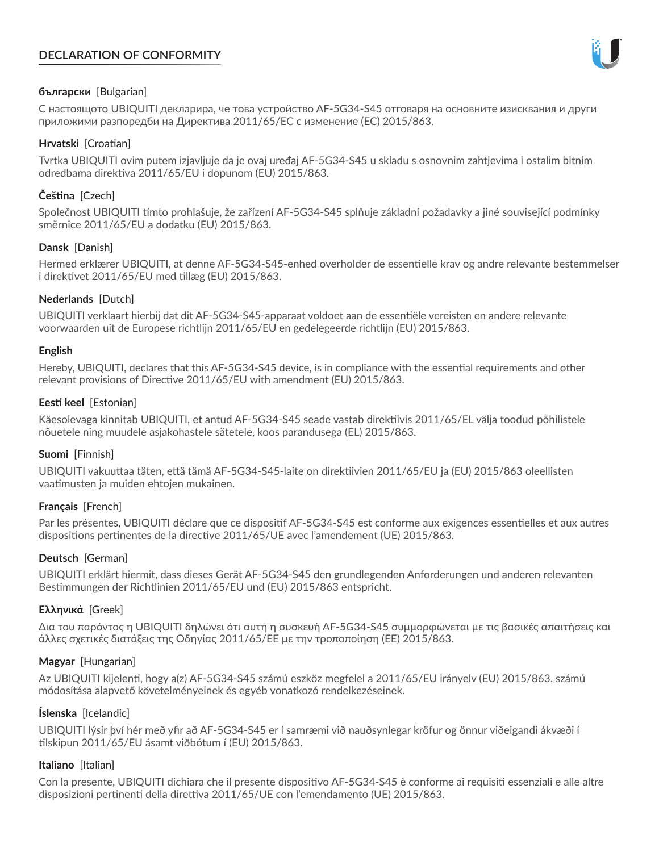# **DECLARATION OF CONFORMITY**



# **български** [Bulgarian]

С настоящото UBIQUITI декларира, че това устройство AF-5G34-S45 отговаря на основните изисквания и други приложими разпоредби на Директива 2011/65/ЕС с изменение (ЕС) 2015/863.

# **Hrvatski** [Croatian]

Tvrtka UBIQUITI ovim putem izjavljuje da je ovaj uređaj AF-5G34-S45 u skladu s osnovnim zahtjevima i ostalim bitnim odredbama direktiva 2011/65/EU i dopunom (EU) 2015/863.

# **Čeština** [Czech]

Společnost UBIQUITI tímto prohlašuje, že zařízení AF-5G34-S45 splňuje základní požadavky a jiné související podmínky směrnice 2011/65/EU a dodatku (EU) 2015/863.

# **Dansk** [Danish]

Hermed erklærer UBIQUITI, at denne AF-5G34-S45-enhed overholder de essentielle krav og andre relevante bestemmelser i direktivet 2011/65/EU med tillæg (EU) 2015/863.

# **Nederlands** [Dutch]

UBIQUITI verklaart hierbij dat dit AF-5G34-S45-apparaat voldoet aan de essentiële vereisten en andere relevante voorwaarden uit de Europese richtlijn 2011/65/EU en gedelegeerde richtlijn (EU) 2015/863.

#### **English**

Hereby, UBIQUITI, declares that this AF-5G34-S45 device, is in compliance with the essential requirements and other relevant provisions of Directive 2011/65/EU with amendment (EU) 2015/863.

# **Eesti keel** [Estonian]

Käesolevaga kinnitab UBIQUITI, et antud AF-5G34-S45 seade vastab direktiivis 2011/65/EL välja toodud põhilistele nõuetele ning muudele asjakohastele sätetele, koos parandusega (EL) 2015/863.

# **Suomi** [Finnish]

UBIQUITI vakuuttaa täten, että tämä AF-5G34-S45-laite on direktiivien 2011/65/EU ja (EU) 2015/863 oleellisten vaatimusten ja muiden ehtojen mukainen.

# **Français** [French]

Par les présentes, UBIQUITI déclare que ce dispositif AF-5G34-S45 est conforme aux exigences essentielles et aux autres dispositions pertinentes de la directive 2011/65/UE avec l'amendement (UE) 2015/863.

# **Deutsch** [German]

UBIQUITI erklärt hiermit, dass dieses Gerät AF-5G34-S45 den grundlegenden Anforderungen und anderen relevanten Bestimmungen der Richtlinien 2011/65/EU und (EU) 2015/863 entspricht.

# **Ελληνικά** [Greek]

Δια του παρόντος η UBIQUITI δηλώνει ότι αυτή η συσκευή AF-5G34-S45 συμμορφώνεται με τις βασικές απαιτήσεις και άλλες σχετικές διατάξεις της Οδηγίας 2011/65/ΕΕ με την τροποποίηση (ΕΕ) 2015/863.

# **Magyar** [Hungarian]

Az UBIQUITI kijelenti, hogy a(z) AF-5G34-S45 számú eszköz megfelel a 2011/65/EU irányelv (EU) 2015/863. számú módosítása alapvető követelményeinek és egyéb vonatkozó rendelkezéseinek.

# **Íslenska** [Icelandic]

UBIQUITI lýsir því hér með yfir að AF-5G34-S45 er í samræmi við nauðsynlegar kröfur og önnur viðeigandi ákvæði í tilskipun 2011/65/EU ásamt viðbótum í (EU) 2015/863.

# **Italiano** [Italian]

Con la presente, UBIQUITI dichiara che il presente dispositivo AF-5G34-S45 è conforme ai requisiti essenziali e alle altre disposizioni pertinenti della direttiva 2011/65/UE con l'emendamento (UE) 2015/863.